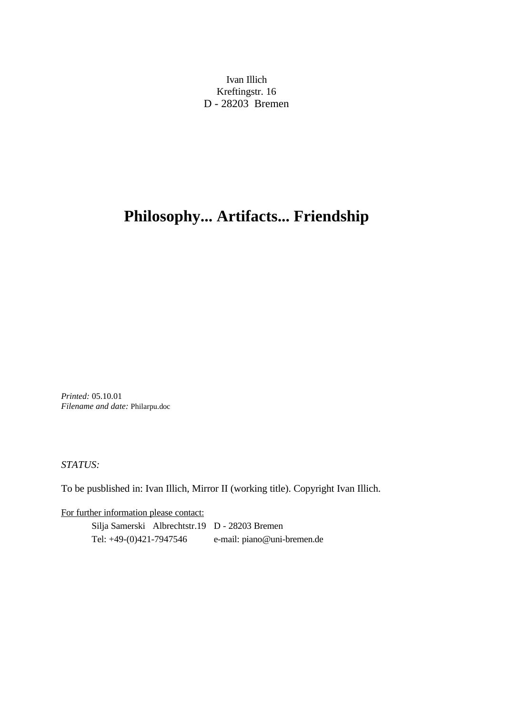Ivan Illich Kreftingstr. 16 D - 28203 Bremen

# **Philosophy... Artifacts... Friendship**

*Printed:* 05.10.01 *Filename and date:* Philarpu.doc

*STATUS:*

To be pusblished in: Ivan Illich, Mirror II (working title). Copyright Ivan Illich.

For further information please contact:

Silja Samerski Albrechtstr.19 D - 28203 Bremen Tel: +49-(0)421-7947546 e-mail: piano@uni-bremen.de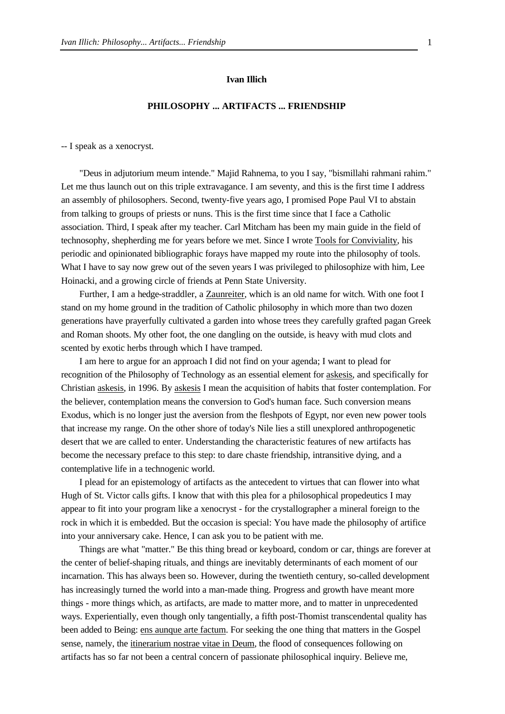## **Ivan Illich**

# **PHILOSOPHY ... ARTIFACTS ... FRIENDSHIP**

-- I speak as a xenocryst.

"Deus in adjutorium meum intende." Majid Rahnema, to you I say, "bismillahi rahmani rahim." Let me thus launch out on this triple extravagance. I am seventy, and this is the first time I address an assembly of philosophers. Second, twenty-five years ago, I promised Pope Paul VI to abstain from talking to groups of priests or nuns. This is the first time since that I face a Catholic association. Third, I speak after my teacher. Carl Mitcham has been my main guide in the field of technosophy, shepherding me for years before we met. Since I wrote Tools for Conviviality, his periodic and opinionated bibliographic forays have mapped my route into the philosophy of tools. What I have to say now grew out of the seven years I was privileged to philosophize with him, Lee Hoinacki, and a growing circle of friends at Penn State University.

Further, I am a hedge-straddler, a Zaunreiter, which is an old name for witch. With one foot I stand on my home ground in the tradition of Catholic philosophy in which more than two dozen generations have prayerfully cultivated a garden into whose trees they carefully grafted pagan Greek and Roman shoots. My other foot, the one dangling on the outside, is heavy with mud clots and scented by exotic herbs through which I have tramped.

I am here to argue for an approach I did not find on your agenda; I want to plead for recognition of the Philosophy of Technology as an essential element for askesis, and specifically for Christian askesis, in 1996. By askesis I mean the acquisition of habits that foster contemplation. For the believer, contemplation means the conversion to God's human face. Such conversion means Exodus, which is no longer just the aversion from the fleshpots of Egypt, nor even new power tools that increase my range. On the other shore of today's Nile lies a still unexplored anthropogenetic desert that we are called to enter. Understanding the characteristic features of new artifacts has become the necessary preface to this step: to dare chaste friendship, intransitive dying, and a contemplative life in a technogenic world.

I plead for an epistemology of artifacts as the antecedent to virtues that can flower into what Hugh of St. Victor calls gifts. I know that with this plea for a philosophical propedeutics I may appear to fit into your program like a xenocryst - for the crystallographer a mineral foreign to the rock in which it is embedded. But the occasion is special: You have made the philosophy of artifice into your anniversary cake. Hence, I can ask you to be patient with me.

Things are what "matter." Be this thing bread or keyboard, condom or car, things are forever at the center of belief-shaping rituals, and things are inevitably determinants of each moment of our incarnation. This has always been so. However, during the twentieth century, so-called development has increasingly turned the world into a man-made thing. Progress and growth have meant more things - more things which, as artifacts, are made to matter more, and to matter in unprecedented ways. Experientially, even though only tangentially, a fifth post-Thomist transcendental quality has been added to Being: ens aunque arte factum. For seeking the one thing that matters in the Gospel sense, namely, the itinerarium nostrae vitae in Deum, the flood of consequences following on artifacts has so far not been a central concern of passionate philosophical inquiry. Believe me,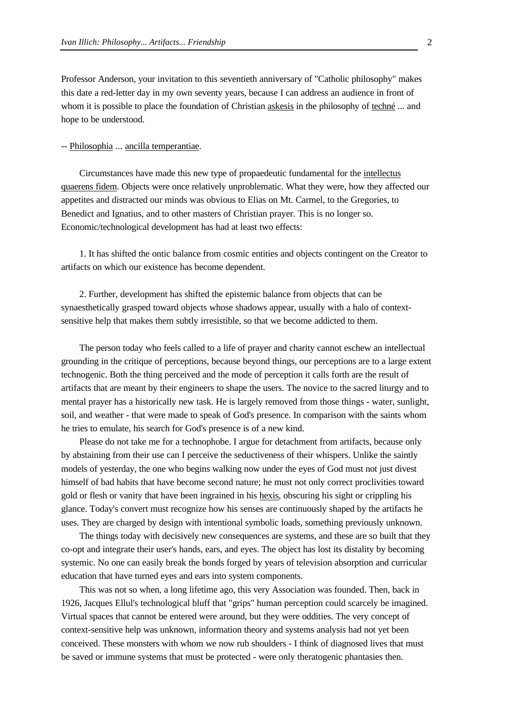Professor Anderson, your invitation to this seventieth anniversary of "Catholic philosophy" makes this date a red-letter day in my own seventy years, because I can address an audience in front of whom it is possible to place the foundation of Christian askesis in the philosophy of techné ... and hope to be understood.

#### -- Philosophia ... ancilla temperantiae.

Circumstances have made this new type of propaedeutic fundamental for the intellectus quaerens fidem. Objects were once relatively unproblematic. What they were, how they affected our appetites and distracted our minds was obvious to Elias on Mt. Carmel, to the Gregories, to Benedict and Ignatius, and to other masters of Christian prayer. This is no longer so. Economic/technological development has had at least two effects:

1. It has shifted the ontic balance from cosmic entities and objects contingent on the Creator to artifacts on which our existence has become dependent.

2. Further, development has shifted the epistemic balance from objects that can be synaesthetically grasped toward objects whose shadows appear, usually with a halo of contextsensitive help that makes them subtly irresistible, so that we become addicted to them.

The person today who feels called to a life of prayer and charity cannot eschew an intellectual grounding in the critique of perceptions, because beyond things, our perceptions are to a large extent technogenic. Both the thing perceived and the mode of perception it calls forth are the result of artifacts that are meant by their engineers to shape the users. The novice to the sacred liturgy and to mental prayer has a historically new task. He is largely removed from those things - water, sunlight, soil, and weather - that were made to speak of God's presence. In comparison with the saints whom he tries to emulate, his search for God's presence is of a new kind.

Please do not take me for a technophobe. I argue for detachment from artifacts, because only by abstaining from their use can I perceive the seductiveness of their whispers. Unlike the saintly models of yesterday, the one who begins walking now under the eyes of God must not just divest himself of bad habits that have become second nature; he must not only correct proclivities toward gold or flesh or vanity that have been ingrained in his hexis, obscuring his sight or crippling his glance. Today's convert must recognize how his senses are continuously shaped by the artifacts he uses. They are charged by design with intentional symbolic loads, something previously unknown.

The things today with decisively new consequences are systems, and these are so built that they co-opt and integrate their user's hands, ears, and eyes. The object has lost its distality by becoming systemic. No one can easily break the bonds forged by years of television absorption and curricular education that have turned eyes and ears into system components.

This was not so when, a long lifetime ago, this very Association was founded. Then, back in 1926, Jacques Ellul's technological bluff that "grips" human perception could scarcely be imagined. Virtual spaces that cannot be entered were around, but they were oddities. The very concept of context-sensitive help was unknown, information theory and systems analysis had not yet been conceived. These monsters with whom we now rub shoulders - I think of diagnosed lives that must be saved or immune systems that must be protected - were only theratogenic phantasies then.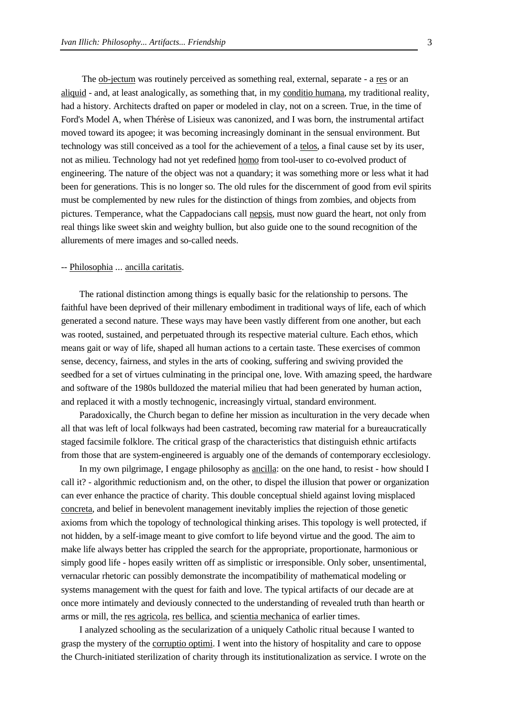The ob-jectum was routinely perceived as something real, external, separate - a res or an aliquid - and, at least analogically, as something that, in my conditio humana, my traditional reality, had a history. Architects drafted on paper or modeled in clay, not on a screen. True, in the time of Ford's Model A, when Thérèse of Lisieux was canonized, and I was born, the instrumental artifact moved toward its apogee; it was becoming increasingly dominant in the sensual environment. But technology was still conceived as a tool for the achievement of a telos, a final cause set by its user, not as milieu. Technology had not yet redefined homo from tool-user to co-evolved product of engineering. The nature of the object was not a quandary; it was something more or less what it had been for generations. This is no longer so. The old rules for the discernment of good from evil spirits must be complemented by new rules for the distinction of things from zombies, and objects from pictures. Temperance, what the Cappadocians call nepsis, must now guard the heart, not only from real things like sweet skin and weighty bullion, but also guide one to the sound recognition of the allurements of mere images and so-called needs.

## -- Philosophia ... ancilla caritatis.

The rational distinction among things is equally basic for the relationship to persons. The faithful have been deprived of their millenary embodiment in traditional ways of life, each of which generated a second nature. These ways may have been vastly different from one another, but each was rooted, sustained, and perpetuated through its respective material culture. Each ethos, which means gait or way of life, shaped all human actions to a certain taste. These exercises of common sense, decency, fairness, and styles in the arts of cooking, suffering and swiving provided the seedbed for a set of virtues culminating in the principal one, love. With amazing speed, the hardware and software of the 1980s bulldozed the material milieu that had been generated by human action, and replaced it with a mostly technogenic, increasingly virtual, standard environment.

Paradoxically, the Church began to define her mission as inculturation in the very decade when all that was left of local folkways had been castrated, becoming raw material for a bureaucratically staged facsimile folklore. The critical grasp of the characteristics that distinguish ethnic artifacts from those that are system-engineered is arguably one of the demands of contemporary ecclesiology.

In my own pilgrimage, I engage philosophy as ancilla: on the one hand, to resist - how should I call it? - algorithmic reductionism and, on the other, to dispel the illusion that power or organization can ever enhance the practice of charity. This double conceptual shield against loving misplaced concreta, and belief in benevolent management inevitably implies the rejection of those genetic axioms from which the topology of technological thinking arises. This topology is well protected, if not hidden, by a self-image meant to give comfort to life beyond virtue and the good. The aim to make life always better has crippled the search for the appropriate, proportionate, harmonious or simply good life - hopes easily written off as simplistic or irresponsible. Only sober, unsentimental, vernacular rhetoric can possibly demonstrate the incompatibility of mathematical modeling or systems management with the quest for faith and love. The typical artifacts of our decade are at once more intimately and deviously connected to the understanding of revealed truth than hearth or arms or mill, the res agricola, res bellica, and scientia mechanica of earlier times.

I analyzed schooling as the secularization of a uniquely Catholic ritual because I wanted to grasp the mystery of the corruptio optimi. I went into the history of hospitality and care to oppose the Church-initiated sterilization of charity through its institutionalization as service. I wrote on the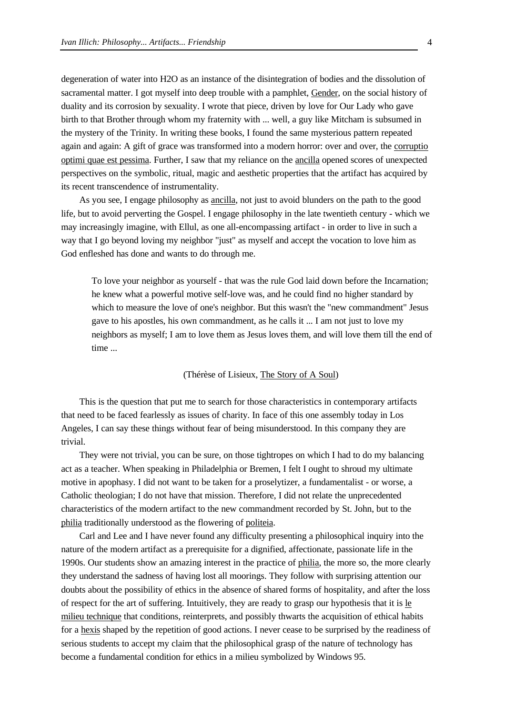degeneration of water into H2O as an instance of the disintegration of bodies and the dissolution of sacramental matter. I got myself into deep trouble with a pamphlet, Gender, on the social history of duality and its corrosion by sexuality. I wrote that piece, driven by love for Our Lady who gave birth to that Brother through whom my fraternity with ... well, a guy like Mitcham is subsumed in the mystery of the Trinity. In writing these books, I found the same mysterious pattern repeated again and again: A gift of grace was transformed into a modern horror: over and over, the corruptio optimi quae est pessima. Further, I saw that my reliance on the ancilla opened scores of unexpected perspectives on the symbolic, ritual, magic and aesthetic properties that the artifact has acquired by its recent transcendence of instrumentality.

As you see, I engage philosophy as ancilla, not just to avoid blunders on the path to the good life, but to avoid perverting the Gospel. I engage philosophy in the late twentieth century - which we may increasingly imagine, with Ellul, as one all-encompassing artifact - in order to live in such a way that I go beyond loving my neighbor "just" as myself and accept the vocation to love him as God enfleshed has done and wants to do through me.

To love your neighbor as yourself - that was the rule God laid down before the Incarnation; he knew what a powerful motive self-love was, and he could find no higher standard by which to measure the love of one's neighbor. But this wasn't the "new commandment" Jesus gave to his apostles, his own commandment, as he calls it ... I am not just to love my neighbors as myself; I am to love them as Jesus loves them, and will love them till the end of time ...

#### (Thérèse of Lisieux, The Story of A Soul)

This is the question that put me to search for those characteristics in contemporary artifacts that need to be faced fearlessly as issues of charity. In face of this one assembly today in Los Angeles, I can say these things without fear of being misunderstood. In this company they are trivial.

They were not trivial, you can be sure, on those tightropes on which I had to do my balancing act as a teacher. When speaking in Philadelphia or Bremen, I felt I ought to shroud my ultimate motive in apophasy. I did not want to be taken for a proselytizer, a fundamentalist - or worse, a Catholic theologian; I do not have that mission. Therefore, I did not relate the unprecedented characteristics of the modern artifact to the new commandment recorded by St. John, but to the philia traditionally understood as the flowering of politeia.

Carl and Lee and I have never found any difficulty presenting a philosophical inquiry into the nature of the modern artifact as a prerequisite for a dignified, affectionate, passionate life in the 1990s. Our students show an amazing interest in the practice of philia, the more so, the more clearly they understand the sadness of having lost all moorings. They follow with surprising attention our doubts about the possibility of ethics in the absence of shared forms of hospitality, and after the loss of respect for the art of suffering. Intuitively, they are ready to grasp our hypothesis that it is le milieu technique that conditions, reinterprets, and possibly thwarts the acquisition of ethical habits for a hexis shaped by the repetition of good actions. I never cease to be surprised by the readiness of serious students to accept my claim that the philosophical grasp of the nature of technology has become a fundamental condition for ethics in a milieu symbolized by Windows 95.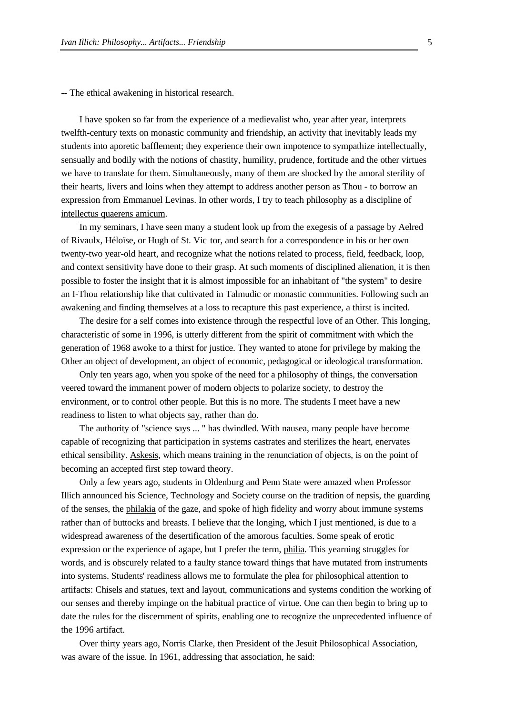-- The ethical awakening in historical research.

I have spoken so far from the experience of a medievalist who, year after year, interprets twelfth-century texts on monastic community and friendship, an activity that inevitably leads my students into aporetic bafflement; they experience their own impotence to sympathize intellectually, sensually and bodily with the notions of chastity, humility, prudence, fortitude and the other virtues we have to translate for them. Simultaneously, many of them are shocked by the amoral sterility of their hearts, livers and loins when they attempt to address another person as Thou - to borrow an expression from Emmanuel Levinas. In other words, I try to teach philosophy as a discipline of intellectus quaerens amicum.

In my seminars, I have seen many a student look up from the exegesis of a passage by Aelred of Rivaulx, Héloïse, or Hugh of St. Vic tor, and search for a correspondence in his or her own twenty-two year-old heart, and recognize what the notions related to process, field, feedback, loop, and context sensitivity have done to their grasp. At such moments of disciplined alienation, it is then possible to foster the insight that it is almost impossible for an inhabitant of "the system" to desire an I-Thou relationship like that cultivated in Talmudic or monastic communities. Following such an awakening and finding themselves at a loss to recapture this past experience, a thirst is incited.

The desire for a self comes into existence through the respectful love of an Other. This longing, characteristic of some in 1996, is utterly different from the spirit of commitment with which the generation of 1968 awoke to a thirst for justice. They wanted to atone for privilege by making the Other an object of development, an object of economic, pedagogical or ideological transformation.

Only ten years ago, when you spoke of the need for a philosophy of things, the conversation veered toward the immanent power of modern objects to polarize society, to destroy the environment, or to control other people. But this is no more. The students I meet have a new readiness to listen to what objects say, rather than do.

The authority of "science says ... " has dwindled. With nausea, many people have become capable of recognizing that participation in systems castrates and sterilizes the heart, enervates ethical sensibility. Askesis, which means training in the renunciation of objects, is on the point of becoming an accepted first step toward theory.

Only a few years ago, students in Oldenburg and Penn State were amazed when Professor Illich announced his Science, Technology and Society course on the tradition of nepsis, the guarding of the senses, the philakia of the gaze, and spoke of high fidelity and worry about immune systems rather than of buttocks and breasts. I believe that the longing, which I just mentioned, is due to a widespread awareness of the desertification of the amorous faculties. Some speak of erotic expression or the experience of agape, but I prefer the term, philia. This yearning struggles for words, and is obscurely related to a faulty stance toward things that have mutated from instruments into systems. Students' readiness allows me to formulate the plea for philosophical attention to artifacts: Chisels and statues, text and layout, communications and systems condition the working of our senses and thereby impinge on the habitual practice of virtue. One can then begin to bring up to date the rules for the discernment of spirits, enabling one to recognize the unprecedented influence of the 1996 artifact.

Over thirty years ago, Norris Clarke, then President of the Jesuit Philosophical Association, was aware of the issue. In 1961, addressing that association, he said: